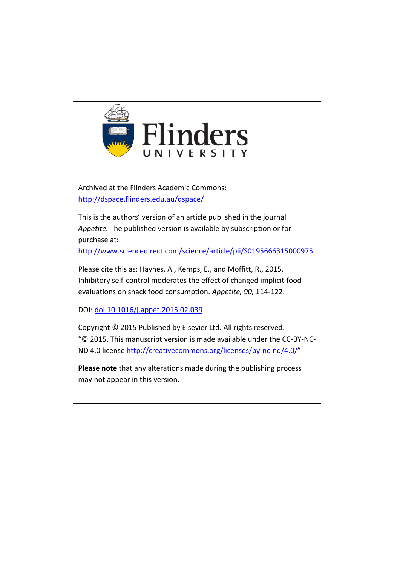

Archived at the Flinders Academic Commons: <http://dspace.flinders.edu.au/dspace/>

This is the authors' version of an article published in the journal *Appetite.* The published version is available by subscription or for purchase at:

<http://www.sciencedirect.com/science/article/pii/S0195666315000975>

Please cite this as: Haynes, A., Kemps, E., and Moffitt, R., 2015. Inhibitory self-control moderates the effect of changed implicit food evaluations on snack food consumption. *Appetite, 90,* 114-122.

DOI: [doi:10.1016/j.appet.2015.02.039](http://dx.doi.org/10.1016/j.appet.2015.02.039)

Copyright © 2015 Published by Elsevier Ltd. All rights reserved. "© 2015. This manuscript version is made available under the CC-BY-NC-ND 4.0 license [http://creativecommons.org/licenses/by-nc-nd/4.0/"](http://creativecommons.org/licenses/by-nc-nd/4.0/)

**Please note** that any alterations made during the publishing process may not appear in this version.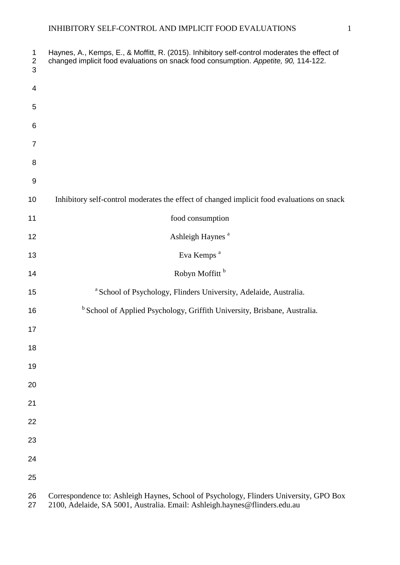# INHIBITORY SELF-CONTROL AND IMPLICIT FOOD EVALUATIONS 1

| 1<br>$\overline{c}$<br>3 | Haynes, A., Kemps, E., & Moffitt, R. (2015). Inhibitory self-control moderates the effect of<br>changed implicit food evaluations on snack food consumption. Appetite, 90, 114-122. |
|--------------------------|-------------------------------------------------------------------------------------------------------------------------------------------------------------------------------------|
| 4                        |                                                                                                                                                                                     |
| 5                        |                                                                                                                                                                                     |
| 6                        |                                                                                                                                                                                     |
| $\overline{7}$           |                                                                                                                                                                                     |
| 8                        |                                                                                                                                                                                     |
| 9                        |                                                                                                                                                                                     |
| 10                       | Inhibitory self-control moderates the effect of changed implicit food evaluations on snack                                                                                          |
| 11                       | food consumption                                                                                                                                                                    |
| 12                       | Ashleigh Haynes <sup>a</sup>                                                                                                                                                        |
| 13                       | Eva Kemps <sup>a</sup>                                                                                                                                                              |
| 14                       | Robyn Moffitt <sup>b</sup>                                                                                                                                                          |
| 15                       | <sup>a</sup> School of Psychology, Flinders University, Adelaide, Australia.                                                                                                        |
| 16                       | <sup>b</sup> School of Applied Psychology, Griffith University, Brisbane, Australia.                                                                                                |
| 17                       |                                                                                                                                                                                     |
| 18                       |                                                                                                                                                                                     |
| 19                       |                                                                                                                                                                                     |
| 20                       |                                                                                                                                                                                     |
| 21                       |                                                                                                                                                                                     |
| 22                       |                                                                                                                                                                                     |
| 23                       |                                                                                                                                                                                     |
| 24                       |                                                                                                                                                                                     |
| 25                       |                                                                                                                                                                                     |
| 26                       | Correspondence to: Ashleigh Haynes, School of Psychology, Flinders University, GPO Box                                                                                              |

2100, Adelaide, SA 5001, Australia. Email: Ashleigh.haynes@flinders.edu.au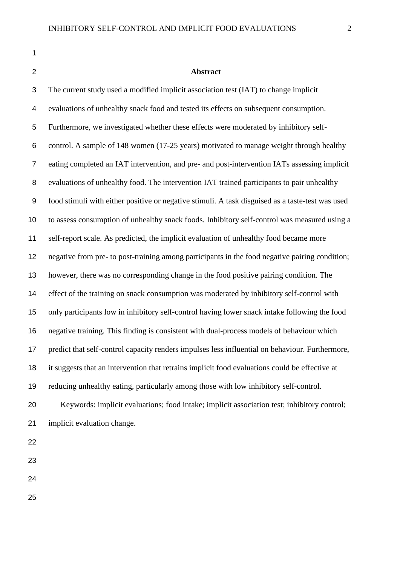# **Abstract**

 The current study used a modified implicit association test (IAT) to change implicit evaluations of unhealthy snack food and tested its effects on subsequent consumption. Furthermore, we investigated whether these effects were moderated by inhibitory self- control. A sample of 148 women (17-25 years) motivated to manage weight through healthy eating completed an IAT intervention, and pre- and post-intervention IATs assessing implicit evaluations of unhealthy food. The intervention IAT trained participants to pair unhealthy food stimuli with either positive or negative stimuli. A task disguised as a taste-test was used to assess consumption of unhealthy snack foods. Inhibitory self-control was measured using a self-report scale. As predicted, the implicit evaluation of unhealthy food became more negative from pre- to post-training among participants in the food negative pairing condition; however, there was no corresponding change in the food positive pairing condition. The effect of the training on snack consumption was moderated by inhibitory self-control with only participants low in inhibitory self-control having lower snack intake following the food negative training. This finding is consistent with dual-process models of behaviour which predict that self-control capacity renders impulses less influential on behaviour. Furthermore, it suggests that an intervention that retrains implicit food evaluations could be effective at reducing unhealthy eating, particularly among those with low inhibitory self-control. Keywords: implicit evaluations; food intake; implicit association test; inhibitory control; implicit evaluation change.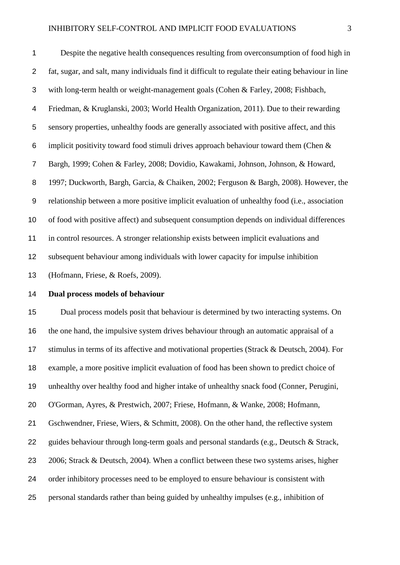Despite the negative health consequences resulting from overconsumption of food high in fat, sugar, and salt, many individuals find it difficult to regulate their eating behaviour in line with long-term health or weight-management goals (Cohen & Farley, 2008; Fishbach, Friedman, & Kruglanski, 2003; World Health Organization, 2011). Due to their rewarding sensory properties, unhealthy foods are generally associated with positive affect, and this 6 implicit positivity toward food stimuli drives approach behaviour toward them (Chen  $\&$  Bargh, 1999; Cohen & Farley, 2008; Dovidio, Kawakami, Johnson, Johnson, & Howard, 1997; Duckworth, Bargh, Garcia, & Chaiken, 2002; Ferguson & Bargh, 2008). However, the relationship between a more positive implicit evaluation of unhealthy food (i.e., association of food with positive affect) and subsequent consumption depends on individual differences in control resources. A stronger relationship exists between implicit evaluations and subsequent behaviour among individuals with lower capacity for impulse inhibition (Hofmann, Friese, & Roefs, 2009).

### **Dual process models of behaviour**

 Dual process models posit that behaviour is determined by two interacting systems. On the one hand, the impulsive system drives behaviour through an automatic appraisal of a stimulus in terms of its affective and motivational properties (Strack & Deutsch, 2004). For example, a more positive implicit evaluation of food has been shown to predict choice of unhealthy over healthy food and higher intake of unhealthy snack food (Conner, Perugini, O'Gorman, Ayres, & Prestwich, 2007; Friese, Hofmann, & Wanke, 2008; Hofmann, Gschwendner, Friese, Wiers, & Schmitt, 2008). On the other hand, the reflective system 22 guides behaviour through long-term goals and personal standards (e.g., Deutsch & Strack, 2006; Strack & Deutsch, 2004). When a conflict between these two systems arises, higher order inhibitory processes need to be employed to ensure behaviour is consistent with personal standards rather than being guided by unhealthy impulses (e.g., inhibition of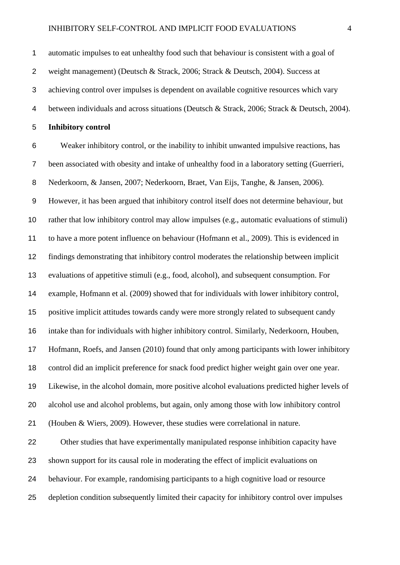automatic impulses to eat unhealthy food such that behaviour is consistent with a goal of weight management) (Deutsch & Strack, 2006; Strack & Deutsch, 2004). Success at achieving control over impulses is dependent on available cognitive resources which vary 4 between individuals and across situations (Deutsch & Strack, 2006; Strack & Deutsch, 2004).

**Inhibitory control**

 Weaker inhibitory control, or the inability to inhibit unwanted impulsive reactions, has been associated with obesity and intake of unhealthy food in a laboratory setting (Guerrieri, Nederkoorn, & Jansen, 2007; Nederkoorn, Braet, Van Eijs, Tanghe, & Jansen, 2006). However, it has been argued that inhibitory control itself does not determine behaviour, but rather that low inhibitory control may allow impulses (e.g., automatic evaluations of stimuli) to have a more potent influence on behaviour (Hofmann et al., 2009). This is evidenced in findings demonstrating that inhibitory control moderates the relationship between implicit evaluations of appetitive stimuli (e.g., food, alcohol), and subsequent consumption. For example, Hofmann et al. (2009) showed that for individuals with lower inhibitory control, positive implicit attitudes towards candy were more strongly related to subsequent candy intake than for individuals with higher inhibitory control. Similarly, Nederkoorn, Houben, Hofmann, Roefs, and Jansen (2010) found that only among participants with lower inhibitory control did an implicit preference for snack food predict higher weight gain over one year. Likewise, in the alcohol domain, more positive alcohol evaluations predicted higher levels of alcohol use and alcohol problems, but again, only among those with low inhibitory control (Houben & Wiers, 2009). However, these studies were correlational in nature.

22 Other studies that have experimentally manipulated response inhibition capacity have shown support for its causal role in moderating the effect of implicit evaluations on behaviour. For example, randomising participants to a high cognitive load or resource depletion condition subsequently limited their capacity for inhibitory control over impulses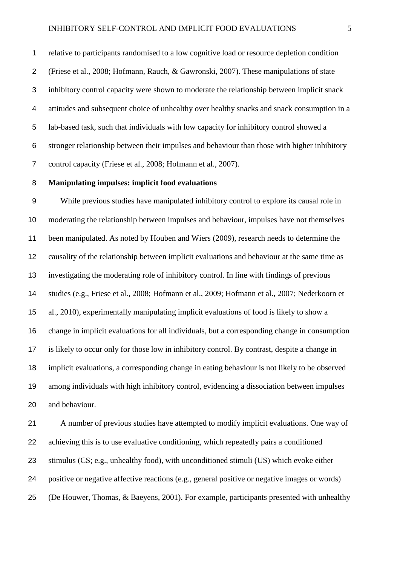relative to participants randomised to a low cognitive load or resource depletion condition (Friese et al., 2008; Hofmann, Rauch, & Gawronski, 2007). These manipulations of state inhibitory control capacity were shown to moderate the relationship between implicit snack attitudes and subsequent choice of unhealthy over healthy snacks and snack consumption in a lab-based task, such that individuals with low capacity for inhibitory control showed a stronger relationship between their impulses and behaviour than those with higher inhibitory control capacity (Friese et al., 2008; Hofmann et al., 2007).

### **Manipulating impulses: implicit food evaluations**

 While previous studies have manipulated inhibitory control to explore its causal role in moderating the relationship between impulses and behaviour, impulses have not themselves been manipulated. As noted by Houben and Wiers (2009), research needs to determine the causality of the relationship between implicit evaluations and behaviour at the same time as investigating the moderating role of inhibitory control. In line with findings of previous studies (e.g., Friese et al., 2008; Hofmann et al., 2009; Hofmann et al., 2007; Nederkoorn et al., 2010), experimentally manipulating implicit evaluations of food is likely to show a change in implicit evaluations for all individuals, but a corresponding change in consumption is likely to occur only for those low in inhibitory control. By contrast, despite a change in implicit evaluations, a corresponding change in eating behaviour is not likely to be observed among individuals with high inhibitory control, evidencing a dissociation between impulses and behaviour.

 A number of previous studies have attempted to modify implicit evaluations. One way of achieving this is to use evaluative conditioning, which repeatedly pairs a conditioned stimulus (CS; e.g., unhealthy food), with unconditioned stimuli (US) which evoke either positive or negative affective reactions (e.g., general positive or negative images or words) (De Houwer, Thomas, & Baeyens, 2001). For example, participants presented with unhealthy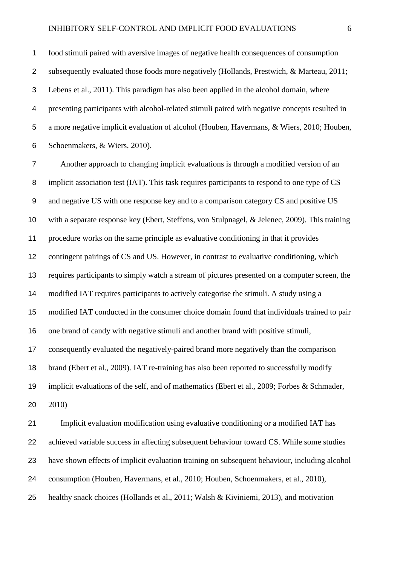food stimuli paired with aversive images of negative health consequences of consumption 2 subsequently evaluated those foods more negatively (Hollands, Prestwich, & Marteau, 2011; Lebens et al., 2011). This paradigm has also been applied in the alcohol domain, where presenting participants with alcohol-related stimuli paired with negative concepts resulted in a more negative implicit evaluation of alcohol (Houben, Havermans, & Wiers, 2010; Houben, Schoenmakers, & Wiers, 2010).

 Another approach to changing implicit evaluations is through a modified version of an implicit association test (IAT). This task requires participants to respond to one type of CS and negative US with one response key and to a comparison category CS and positive US with a separate response key (Ebert, Steffens, von Stulpnagel, & Jelenec, 2009). This training procedure works on the same principle as evaluative conditioning in that it provides contingent pairings of CS and US. However, in contrast to evaluative conditioning, which requires participants to simply watch a stream of pictures presented on a computer screen, the modified IAT requires participants to actively categorise the stimuli. A study using a modified IAT conducted in the consumer choice domain found that individuals trained to pair one brand of candy with negative stimuli and another brand with positive stimuli, consequently evaluated the negatively-paired brand more negatively than the comparison brand (Ebert et al., 2009). IAT re-training has also been reported to successfully modify implicit evaluations of the self, and of mathematics (Ebert et al., 2009; Forbes & Schmader, 2010)

 Implicit evaluation modification using evaluative conditioning or a modified IAT has achieved variable success in affecting subsequent behaviour toward CS. While some studies have shown effects of implicit evaluation training on subsequent behaviour, including alcohol consumption (Houben, Havermans, et al., 2010; Houben, Schoenmakers, et al., 2010), healthy snack choices (Hollands et al., 2011; Walsh & Kiviniemi, 2013), and motivation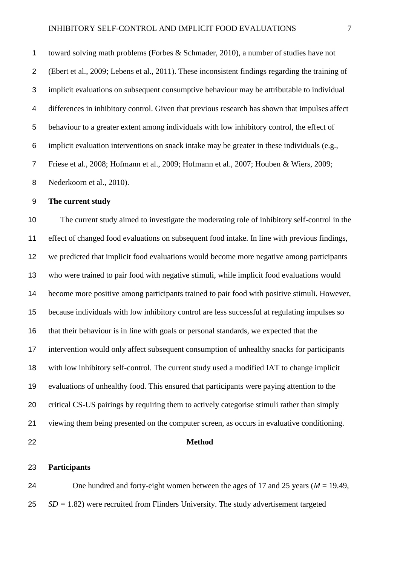toward solving math problems (Forbes & Schmader, 2010), a number of studies have not (Ebert et al., 2009; Lebens et al., 2011). These inconsistent findings regarding the training of implicit evaluations on subsequent consumptive behaviour may be attributable to individual differences in inhibitory control. Given that previous research has shown that impulses affect behaviour to a greater extent among individuals with low inhibitory control, the effect of implicit evaluation interventions on snack intake may be greater in these individuals (e.g., Friese et al., 2008; Hofmann et al., 2009; Hofmann et al., 2007; Houben & Wiers, 2009; Nederkoorn et al., 2010).

### **The current study**

 The current study aimed to investigate the moderating role of inhibitory self-control in the effect of changed food evaluations on subsequent food intake. In line with previous findings, we predicted that implicit food evaluations would become more negative among participants who were trained to pair food with negative stimuli, while implicit food evaluations would become more positive among participants trained to pair food with positive stimuli. However, because individuals with low inhibitory control are less successful at regulating impulses so that their behaviour is in line with goals or personal standards, we expected that the intervention would only affect subsequent consumption of unhealthy snacks for participants with low inhibitory self-control. The current study used a modified IAT to change implicit evaluations of unhealthy food. This ensured that participants were paying attention to the critical CS-US pairings by requiring them to actively categorise stimuli rather than simply viewing them being presented on the computer screen, as occurs in evaluative conditioning.

#### **Method**

## **Participants**

24 One hundred and forty-eight women between the ages of 17 and 25 years ( $M = 19.49$ , *SD =* 1.82) were recruited from Flinders University. The study advertisement targeted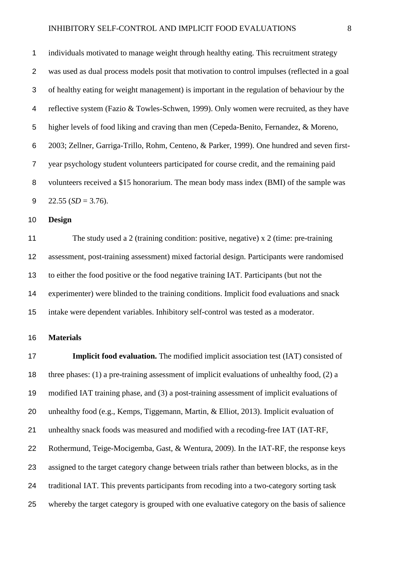individuals motivated to manage weight through healthy eating. This recruitment strategy was used as dual process models posit that motivation to control impulses (reflected in a goal of healthy eating for weight management) is important in the regulation of behaviour by the reflective system (Fazio & Towles-Schwen, 1999). Only women were recruited, as they have higher levels of food liking and craving than men (Cepeda-Benito, Fernandez, & Moreno, 2003; Zellner, Garriga-Trillo, Rohm, Centeno, & Parker, 1999). One hundred and seven first- year psychology student volunteers participated for course credit, and the remaining paid volunteers received a \$15 honorarium. The mean body mass index (BMI) of the sample was  $22.55$  (*SD* = 3.76). **Design**

11 The study used a 2 (training condition: positive, negative) x 2 (time: pre-training assessment, post-training assessment) mixed factorial design. Participants were randomised to either the food positive or the food negative training IAT. Participants (but not the experimenter) were blinded to the training conditions. Implicit food evaluations and snack intake were dependent variables. Inhibitory self-control was tested as a moderator.

#### **Materials**

 **Implicit food evaluation.** The modified implicit association test (IAT) consisted of three phases: (1) a pre-training assessment of implicit evaluations of unhealthy food, (2) a modified IAT training phase, and (3) a post-training assessment of implicit evaluations of unhealthy food (e.g., Kemps, Tiggemann, Martin, & Elliot, 2013). Implicit evaluation of unhealthy snack foods was measured and modified with a recoding-free IAT (IAT-RF, Rothermund, Teige-Mocigemba, Gast, & Wentura, 2009). In the IAT-RF, the response keys assigned to the target category change between trials rather than between blocks, as in the traditional IAT. This prevents participants from recoding into a two-category sorting task whereby the target category is grouped with one evaluative category on the basis of salience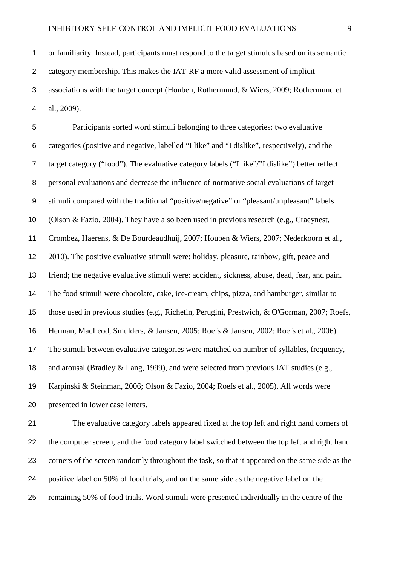or familiarity. Instead, participants must respond to the target stimulus based on its semantic category membership. This makes the IAT-RF a more valid assessment of implicit associations with the target concept (Houben, Rothermund, & Wiers, 2009; Rothermund et al., 2009).

 Participants sorted word stimuli belonging to three categories: two evaluative categories (positive and negative, labelled "I like" and "I dislike", respectively), and the target category ("food"). The evaluative category labels ("I like"/"I dislike") better reflect personal evaluations and decrease the influence of normative social evaluations of target stimuli compared with the traditional "positive/negative" or "pleasant/unpleasant" labels (Olson & Fazio, 2004). They have also been used in previous research (e.g., Craeynest, Crombez, Haerens, & De Bourdeaudhuij, 2007; Houben & Wiers, 2007; Nederkoorn et al., 2010). The positive evaluative stimuli were: holiday, pleasure, rainbow, gift, peace and friend; the negative evaluative stimuli were: accident, sickness, abuse, dead, fear, and pain. The food stimuli were chocolate, cake, ice-cream, chips, pizza, and hamburger, similar to those used in previous studies (e.g., Richetin, Perugini, Prestwich, & O'Gorman, 2007; Roefs, Herman, MacLeod, Smulders, & Jansen, 2005; Roefs & Jansen, 2002; Roefs et al., 2006). The stimuli between evaluative categories were matched on number of syllables, frequency, and arousal (Bradley & Lang, 1999), and were selected from previous IAT studies (e.g., Karpinski & Steinman, 2006; Olson & Fazio, 2004; Roefs et al., 2005). All words were presented in lower case letters.

 The evaluative category labels appeared fixed at the top left and right hand corners of the computer screen, and the food category label switched between the top left and right hand corners of the screen randomly throughout the task, so that it appeared on the same side as the positive label on 50% of food trials, and on the same side as the negative label on the remaining 50% of food trials. Word stimuli were presented individually in the centre of the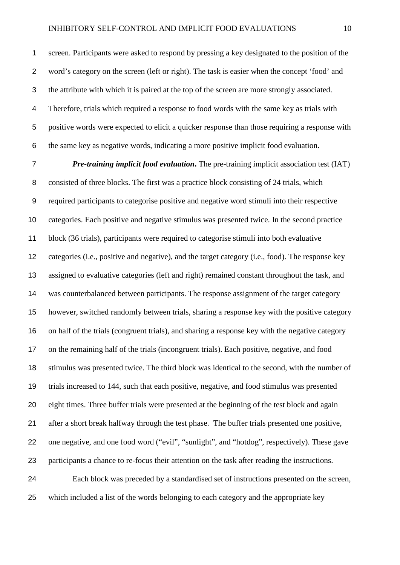screen. Participants were asked to respond by pressing a key designated to the position of the word's category on the screen (left or right). The task is easier when the concept 'food' and the attribute with which it is paired at the top of the screen are more strongly associated. Therefore, trials which required a response to food words with the same key as trials with positive words were expected to elicit a quicker response than those requiring a response with the same key as negative words, indicating a more positive implicit food evaluation.

 *Pre-training implicit food evaluation***.** The pre-training implicit association test (IAT) consisted of three blocks. The first was a practice block consisting of 24 trials, which required participants to categorise positive and negative word stimuli into their respective categories. Each positive and negative stimulus was presented twice. In the second practice block (36 trials), participants were required to categorise stimuli into both evaluative categories (i.e., positive and negative), and the target category (i.e., food). The response key assigned to evaluative categories (left and right) remained constant throughout the task, and was counterbalanced between participants. The response assignment of the target category however, switched randomly between trials, sharing a response key with the positive category on half of the trials (congruent trials), and sharing a response key with the negative category on the remaining half of the trials (incongruent trials). Each positive, negative, and food stimulus was presented twice. The third block was identical to the second, with the number of trials increased to 144, such that each positive, negative, and food stimulus was presented eight times. Three buffer trials were presented at the beginning of the test block and again after a short break halfway through the test phase. The buffer trials presented one positive, one negative, and one food word ("evil", "sunlight", and "hotdog", respectively). These gave participants a chance to re-focus their attention on the task after reading the instructions. Each block was preceded by a standardised set of instructions presented on the screen, which included a list of the words belonging to each category and the appropriate key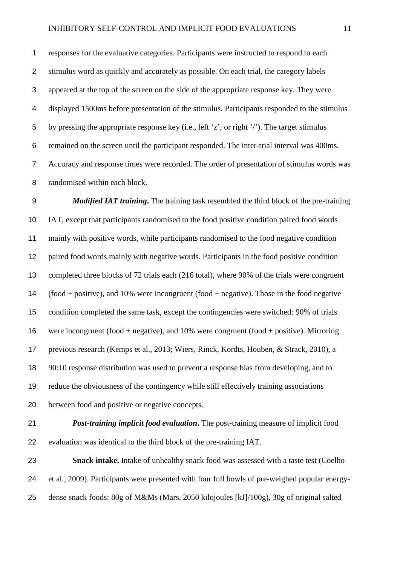responses for the evaluative categories. Participants were instructed to respond to each stimulus word as quickly and accurately as possible. On each trial, the category labels appeared at the top of the screen on the side of the appropriate response key. They were displayed 1500ms before presentation of the stimulus. Participants responded to the stimulus by pressing the appropriate response key (i.e., left 'z', or right '/'). The target stimulus remained on the screen until the participant responded. The inter-trial interval was 400ms. Accuracy and response times were recorded. The order of presentation of stimulus words was randomised within each block.

 *Modified IAT training***.** The training task resembled the third block of the pre-training IAT, except that participants randomised to the food positive condition paired food words mainly with positive words, while participants randomised to the food negative condition paired food words mainly with negative words. Participants in the food positive condition completed three blocks of 72 trials each (216 total), where 90% of the trials were congruent (food + positive), and 10% were incongruent (food + negative). Those in the food negative condition completed the same task, except the contingencies were switched: 90% of trials were incongruent (food + negative), and 10% were congruent (food + positive). Mirroring previous research (Kemps et al., 2013; Wiers, Rinck, Kordts, Houben, & Strack, 2010), a 90:10 response distribution was used to prevent a response bias from developing, and to reduce the obviousness of the contingency while still effectively training associations between food and positive or negative concepts.

 *Post-training implicit food evaluation***.** The post-training measure of implicit food evaluation was identical to the third block of the pre-training IAT.

 **Snack intake.** Intake of unhealthy snack food was assessed with a taste test (Coelho et al., 2009). Participants were presented with four full bowls of pre-weighed popular energy-dense snack foods: 80g of M&Ms (Mars, 2050 kilojoules [kJ]/100g), 30g of original salted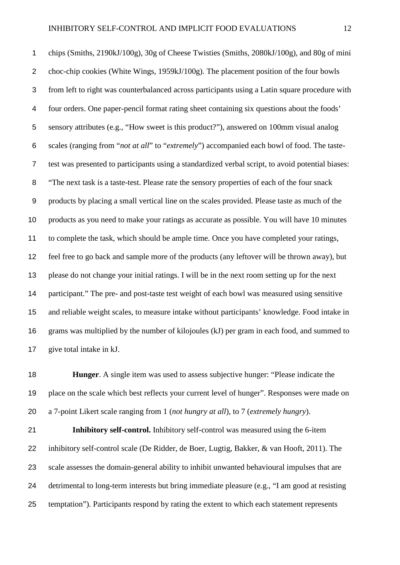chips (Smiths, 2190kJ/100g), 30g of Cheese Twisties (Smiths, 2080kJ/100g), and 80g of mini choc-chip cookies (White Wings, 1959kJ/100g). The placement position of the four bowls from left to right was counterbalanced across participants using a Latin square procedure with four orders. One paper-pencil format rating sheet containing six questions about the foods' sensory attributes (e.g., "How sweet is this product?"), answered on 100mm visual analog scales (ranging from "*not at all*" to "*extremely*") accompanied each bowl of food. The taste- test was presented to participants using a standardized verbal script, to avoid potential biases: "The next task is a taste-test. Please rate the sensory properties of each of the four snack products by placing a small vertical line on the scales provided. Please taste as much of the products as you need to make your ratings as accurate as possible. You will have 10 minutes to complete the task, which should be ample time. Once you have completed your ratings, feel free to go back and sample more of the products (any leftover will be thrown away), but please do not change your initial ratings. I will be in the next room setting up for the next participant." The pre- and post-taste test weight of each bowl was measured using sensitive and reliable weight scales, to measure intake without participants' knowledge. Food intake in grams was multiplied by the number of kilojoules (kJ) per gram in each food, and summed to give total intake in kJ.

 **Hunger**. A single item was used to assess subjective hunger: "Please indicate the place on the scale which best reflects your current level of hunger". Responses were made on a 7-point Likert scale ranging from 1 (*not hungry at all*), to 7 (*extremely hungry*).

 **Inhibitory self-control.** Inhibitory self-control was measured using the 6-item 22 inhibitory self-control scale (De Ridder, de Boer, Lugtig, Bakker, & van Hooft, 2011). The scale assesses the domain-general ability to inhibit unwanted behavioural impulses that are detrimental to long-term interests but bring immediate pleasure (e.g., "I am good at resisting temptation"). Participants respond by rating the extent to which each statement represents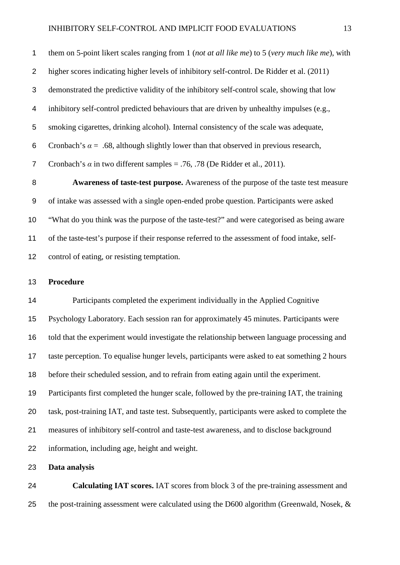them on 5-point likert scales ranging from 1 (*not at all like me*) to 5 (*very much like me*), with higher scores indicating higher levels of inhibitory self-control. De Ridder et al. (2011) demonstrated the predictive validity of the inhibitory self-control scale, showing that low inhibitory self-control predicted behaviours that are driven by unhealthy impulses (e.g., smoking cigarettes, drinking alcohol). Internal consistency of the scale was adequate, 6 Cronbach's  $\alpha = 0.68$ , although slightly lower than that observed in previous research, 7 Cronbach's  $\alpha$  in two different samples = .76, .78 (De Ridder et al., 2011).

 **Awareness of taste-test purpose.** Awareness of the purpose of the taste test measure of intake was assessed with a single open-ended probe question. Participants were asked "What do you think was the purpose of the taste-test?" and were categorised as being aware of the taste-test's purpose if their response referred to the assessment of food intake, self-control of eating, or resisting temptation.

#### **Procedure**

 Participants completed the experiment individually in the Applied Cognitive Psychology Laboratory. Each session ran for approximately 45 minutes. Participants were told that the experiment would investigate the relationship between language processing and taste perception. To equalise hunger levels, participants were asked to eat something 2 hours before their scheduled session, and to refrain from eating again until the experiment. Participants first completed the hunger scale, followed by the pre-training IAT, the training task, post-training IAT, and taste test. Subsequently, participants were asked to complete the measures of inhibitory self-control and taste-test awareness, and to disclose background information, including age, height and weight.

## **Data analysis**

 **Calculating IAT scores.** IAT scores from block 3 of the pre-training assessment and 25 the post-training assessment were calculated using the D600 algorithm (Greenwald, Nosek,  $\&$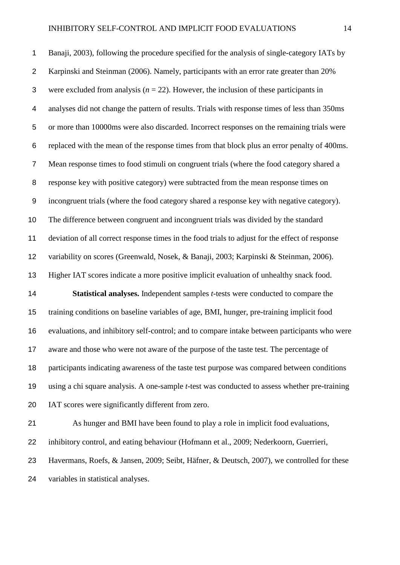Banaji, 2003), following the procedure specified for the analysis of single-category IATs by Karpinski and Steinman (2006). Namely, participants with an error rate greater than 20% were excluded from analysis (*n* = 22). However, the inclusion of these participants in analyses did not change the pattern of results. Trials with response times of less than 350ms or more than 10000ms were also discarded. Incorrect responses on the remaining trials were replaced with the mean of the response times from that block plus an error penalty of 400ms. Mean response times to food stimuli on congruent trials (where the food category shared a response key with positive category) were subtracted from the mean response times on incongruent trials (where the food category shared a response key with negative category). The difference between congruent and incongruent trials was divided by the standard deviation of all correct response times in the food trials to adjust for the effect of response variability on scores (Greenwald, Nosek, & Banaji, 2003; Karpinski & Steinman, 2006). Higher IAT scores indicate a more positive implicit evaluation of unhealthy snack food. **Statistical analyses.** Independent samples *t*-tests were conducted to compare the

 training conditions on baseline variables of age, BMI, hunger, pre-training implicit food evaluations, and inhibitory self-control; and to compare intake between participants who were aware and those who were not aware of the purpose of the taste test. The percentage of participants indicating awareness of the taste test purpose was compared between conditions using a chi square analysis. A one-sample *t*-test was conducted to assess whether pre-training IAT scores were significantly different from zero.

 As hunger and BMI have been found to play a role in implicit food evaluations, inhibitory control, and eating behaviour (Hofmann et al., 2009; Nederkoorn, Guerrieri, Havermans, Roefs, & Jansen, 2009; Seibt, Häfner, & Deutsch, 2007), we controlled for these variables in statistical analyses.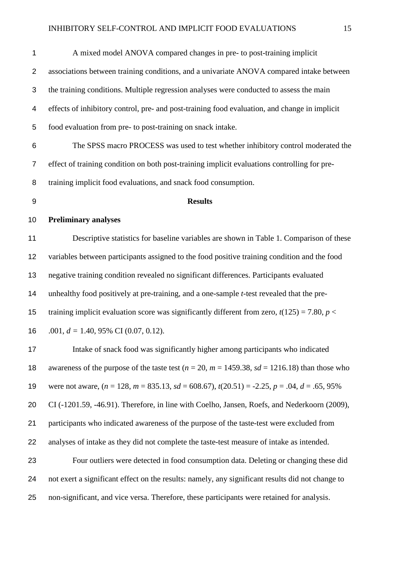| $\mathbf 1$      | A mixed model ANOVA compared changes in pre- to post-training implicit                                  |
|------------------|---------------------------------------------------------------------------------------------------------|
| $\overline{2}$   | associations between training conditions, and a univariate ANOVA compared intake between                |
| 3                | the training conditions. Multiple regression analyses were conducted to assess the main                 |
| 4                | effects of inhibitory control, pre- and post-training food evaluation, and change in implicit           |
| 5                | food evaluation from pre- to post-training on snack intake.                                             |
| 6                | The SPSS macro PROCESS was used to test whether inhibitory control moderated the                        |
| $\overline{7}$   | effect of training condition on both post-training implicit evaluations controlling for pre-            |
| 8                | training implicit food evaluations, and snack food consumption.                                         |
| $\boldsymbol{9}$ | <b>Results</b>                                                                                          |
| 10               | <b>Preliminary analyses</b>                                                                             |
| 11               | Descriptive statistics for baseline variables are shown in Table 1. Comparison of these                 |
| 12               | variables between participants assigned to the food positive training condition and the food            |
| 13               | negative training condition revealed no significant differences. Participants evaluated                 |
| 14               | unhealthy food positively at pre-training, and a one-sample <i>t</i> -test revealed that the pre-       |
| 15               | training implicit evaluation score was significantly different from zero, $t(125) = 7.80$ , $p <$       |
| 16               | .001, $d = 1.40$ , 95% CI (0.07, 0.12).                                                                 |
| 17               | Intake of snack food was significantly higher among participants who indicated                          |
| 18               | awareness of the purpose of the taste test ( $n = 20$ , $m = 1459.38$ , $sd = 1216.18$ ) than those who |
| 19               | were not aware, $(n = 128, m = 835.13, sd = 608.67), t(20.51) = -2.25, p = .04, d = .65, 95\%$          |
| 20               | CI (-1201.59, -46.91). Therefore, in line with Coelho, Jansen, Roefs, and Nederkoorn (2009),            |
| 21               | participants who indicated awareness of the purpose of the taste-test were excluded from                |
| 22               | analyses of intake as they did not complete the taste-test measure of intake as intended.               |
| 23               | Four outliers were detected in food consumption data. Deleting or changing these did                    |
| 24               | not exert a significant effect on the results: namely, any significant results did not change to        |
| 25               | non-significant, and vice versa. Therefore, these participants were retained for analysis.              |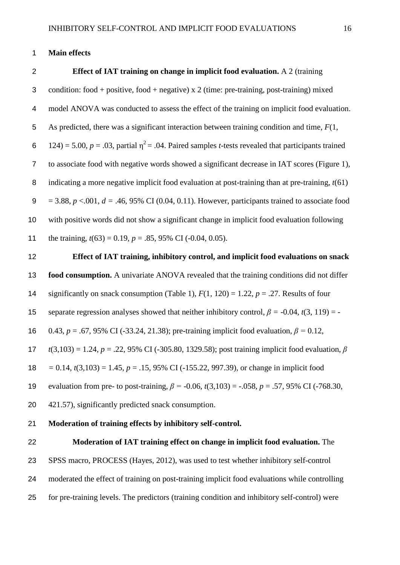**Main effects**

 **Effect of IAT training on change in implicit food evaluation.** A 2 (training 3 condition: food + positive, food + negative) x 2 (time: pre-training, post-training) mixed model ANOVA was conducted to assess the effect of the training on implicit food evaluation. As predicted, there was a significant interaction between training condition and time, *F*(1, 6 124) = 5.00,  $p = .03$ , partial  $\eta^2 = .04$ . Paired samples *t*-tests revealed that participants trained to associate food with negative words showed a significant decrease in IAT scores (Figure 1), indicating a more negative implicit food evaluation at post-training than at pre-training, *t*(61)  $= 3.88, p < .001, d = .46, 95\% \text{ CI } (0.04, 0.11)$ . However, participants trained to associate food with positive words did not show a significant change in implicit food evaluation following 11 the training,  $t(63) = 0.19$ ,  $p = .85$ , 95% CI (-0.04, 0.05). **Effect of IAT training, inhibitory control, and implicit food evaluations on snack food consumption.** A univariate ANOVA revealed that the training conditions did not differ 14 significantly on snack consumption (Table 1),  $F(1, 120) = 1.22$ ,  $p = .27$ . Results of four 15 separate regression analyses showed that neither inhibitory control,  $\beta$  = -0.04, *t*(3, 119) = - 0.43, *p* = .67, 95% CI (-33.24, 21.38); pre-training implicit food evaluation, *β =* 0.12, *t*(3,103) = 1.24, *p* = .22, 95% CI (-305.80, 1329.58); post training implicit food evaluation, *β =* 0.14, *t*(3,103) = 1.45, *p* = .15, 95% CI (-155.22, 997.39), or change in implicit food evaluation from pre- to post-training, *β =* -0.06, *t*(3,103) = -.058, *p* = .57, 95% CI (-768.30, 421.57), significantly predicted snack consumption. **Moderation of training effects by inhibitory self-control.**

 **Moderation of IAT training effect on change in implicit food evaluation.** The SPSS macro, PROCESS (Hayes, 2012), was used to test whether inhibitory self-control moderated the effect of training on post-training implicit food evaluations while controlling for pre-training levels. The predictors (training condition and inhibitory self-control) were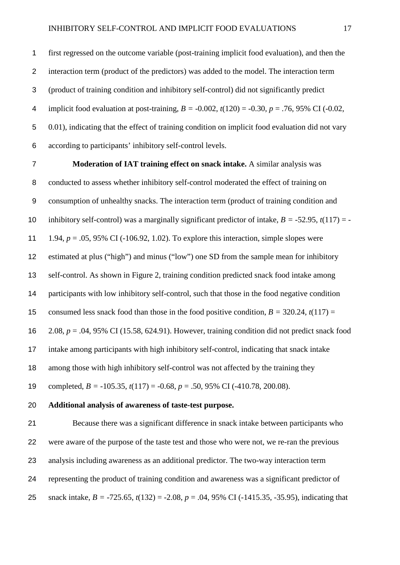first regressed on the outcome variable (post-training implicit food evaluation), and then the interaction term (product of the predictors) was added to the model. The interaction term (product of training condition and inhibitory self-control) did not significantly predict implicit food evaluation at post-training, *B = -*0.002, *t*(120) = -0.30, *p* = .76, 95% CI (-0.02, 0.01), indicating that the effect of training condition on implicit food evaluation did not vary according to participants' inhibitory self-control levels.

 **Moderation of IAT training effect on snack intake.** A similar analysis was conducted to assess whether inhibitory self-control moderated the effect of training on consumption of unhealthy snacks. The interaction term (product of training condition and 10 inhibitory self-control) was a marginally significant predictor of intake,  $B = -52.95$ ,  $t(117) = -1$  1.94, *p* = .05, 95% CI (-106.92, 1.02). To explore this interaction, simple slopes were estimated at plus ("high") and minus ("low") one SD from the sample mean for inhibitory self-control. As shown in Figure 2, training condition predicted snack food intake among participants with low inhibitory self-control, such that those in the food negative condition 15 consumed less snack food than those in the food positive condition,  $B = 320.24$ ,  $t(117) =$  2.08, *p* = .04, 95% CI (15.58, 624.91). However, training condition did not predict snack food intake among participants with high inhibitory self-control, indicating that snack intake among those with high inhibitory self-control was not affected by the training they completed, *B = -*105.35, *t*(117) = -0.68, *p* = .50, 95% CI (-410.78, 200.08).

# **Additional analysis of awareness of taste-test purpose.**

 Because there was a significant difference in snack intake between participants who were aware of the purpose of the taste test and those who were not, we re-ran the previous analysis including awareness as an additional predictor. The two-way interaction term representing the product of training condition and awareness was a significant predictor of snack intake, *B = -*725.65, *t*(132) = -2.08, *p* = .04, 95% CI (-1415.35, -35.95), indicating that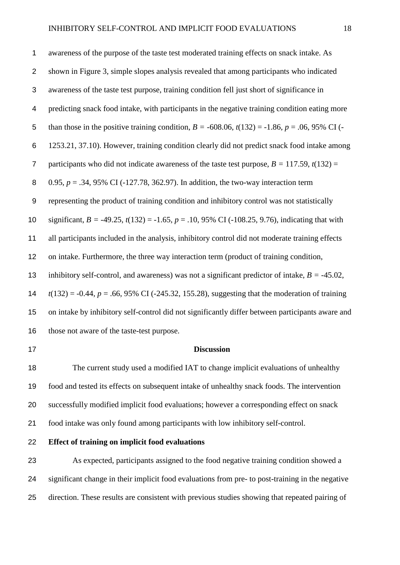| $\mathbf 1$      | awareness of the purpose of the taste test moderated training effects on snack intake. As               |
|------------------|---------------------------------------------------------------------------------------------------------|
| $\overline{2}$   | shown in Figure 3, simple slopes analysis revealed that among participants who indicated                |
| $\mathfrak{B}$   | awareness of the taste test purpose, training condition fell just short of significance in              |
| 4                | predicting snack food intake, with participants in the negative training condition eating more          |
| $\sqrt{5}$       | than those in the positive training condition, $B = -608.06$ , $t(132) = -1.86$ , $p = .06$ , 95% CI (- |
| 6                | 1253.21, 37.10). However, training condition clearly did not predict snack food intake among            |
| $\overline{7}$   | participants who did not indicate awareness of the taste test purpose, $B = 117.59$ , $t(132) =$        |
| 8                | 0.95, $p = .34$ , 95% CI (-127.78, 362.97). In addition, the two-way interaction term                   |
| $\boldsymbol{9}$ | representing the product of training condition and inhibitory control was not statistically             |
| 10               | significant, $B = -49.25$ , $t(132) = -1.65$ , $p = .10$ , 95% CI (-108.25, 9.76), indicating that with |
| 11               | all participants included in the analysis, inhibitory control did not moderate training effects         |
| 12               | on intake. Furthermore, the three way interaction term (product of training condition,                  |
| 13               | inhibitory self-control, and awareness) was not a significant predictor of intake, $B = -45.02$ ,       |
| 14               | $t(132) = -0.44$ , $p = .66$ , 95% CI (-245.32, 155.28), suggesting that the moderation of training     |
| 15               | on intake by inhibitory self-control did not significantly differ between participants aware and        |
| 16               | those not aware of the taste-test purpose.                                                              |
|                  |                                                                                                         |

# **Discussion**

 The current study used a modified IAT to change implicit evaluations of unhealthy food and tested its effects on subsequent intake of unhealthy snack foods. The intervention successfully modified implicit food evaluations; however a corresponding effect on snack food intake was only found among participants with low inhibitory self-control.

**Effect of training on implicit food evaluations**

 As expected, participants assigned to the food negative training condition showed a significant change in their implicit food evaluations from pre- to post-training in the negative direction. These results are consistent with previous studies showing that repeated pairing of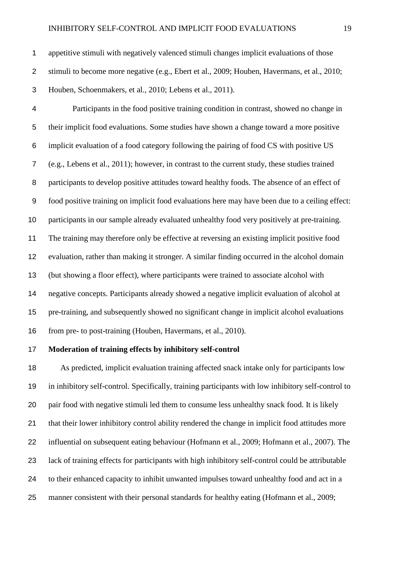appetitive stimuli with negatively valenced stimuli changes implicit evaluations of those 2 stimuli to become more negative (e.g., Ebert et al., 2009; Houben, Havermans, et al., 2010; Houben, Schoenmakers, et al., 2010; Lebens et al., 2011).

 Participants in the food positive training condition in contrast, showed no change in their implicit food evaluations. Some studies have shown a change toward a more positive implicit evaluation of a food category following the pairing of food CS with positive US (e.g., Lebens et al., 2011); however, in contrast to the current study, these studies trained participants to develop positive attitudes toward healthy foods. The absence of an effect of food positive training on implicit food evaluations here may have been due to a ceiling effect: participants in our sample already evaluated unhealthy food very positively at pre-training. The training may therefore only be effective at reversing an existing implicit positive food evaluation, rather than making it stronger. A similar finding occurred in the alcohol domain (but showing a floor effect), where participants were trained to associate alcohol with negative concepts. Participants already showed a negative implicit evaluation of alcohol at pre-training, and subsequently showed no significant change in implicit alcohol evaluations from pre- to post-training (Houben, Havermans, et al., 2010).

# **Moderation of training effects by inhibitory self-control**

 As predicted, implicit evaluation training affected snack intake only for participants low in inhibitory self-control. Specifically, training participants with low inhibitory self-control to pair food with negative stimuli led them to consume less unhealthy snack food. It is likely that their lower inhibitory control ability rendered the change in implicit food attitudes more influential on subsequent eating behaviour (Hofmann et al., 2009; Hofmann et al., 2007). The lack of training effects for participants with high inhibitory self-control could be attributable to their enhanced capacity to inhibit unwanted impulses toward unhealthy food and act in a manner consistent with their personal standards for healthy eating (Hofmann et al., 2009;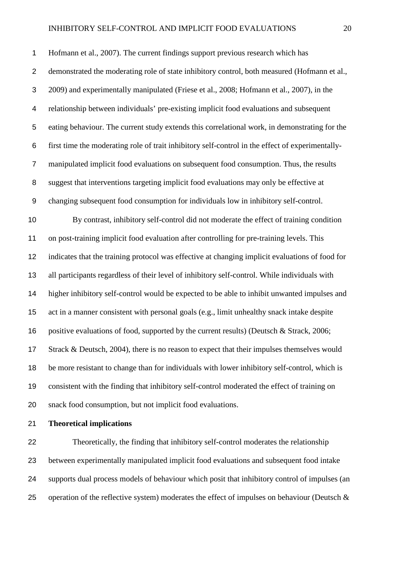Hofmann et al., 2007). The current findings support previous research which has 2 demonstrated the moderating role of state inhibitory control, both measured (Hofmann et al., 2009) and experimentally manipulated (Friese et al., 2008; Hofmann et al., 2007), in the relationship between individuals' pre-existing implicit food evaluations and subsequent eating behaviour. The current study extends this correlational work, in demonstrating for the first time the moderating role of trait inhibitory self-control in the effect of experimentally- manipulated implicit food evaluations on subsequent food consumption. Thus, the results suggest that interventions targeting implicit food evaluations may only be effective at changing subsequent food consumption for individuals low in inhibitory self-control. By contrast, inhibitory self-control did not moderate the effect of training condition on post-training implicit food evaluation after controlling for pre-training levels. This indicates that the training protocol was effective at changing implicit evaluations of food for all participants regardless of their level of inhibitory self-control. While individuals with higher inhibitory self-control would be expected to be able to inhibit unwanted impulses and act in a manner consistent with personal goals (e.g., limit unhealthy snack intake despite positive evaluations of food, supported by the current results) (Deutsch & Strack, 2006; 17 Strack & Deutsch, 2004), there is no reason to expect that their impulses themselves would be more resistant to change than for individuals with lower inhibitory self-control, which is consistent with the finding that inhibitory self-control moderated the effect of training on snack food consumption, but not implicit food evaluations.

**Theoretical implications**

 Theoretically, the finding that inhibitory self-control moderates the relationship between experimentally manipulated implicit food evaluations and subsequent food intake supports dual process models of behaviour which posit that inhibitory control of impulses (an 25 operation of the reflective system) moderates the effect of impulses on behaviour (Deutsch  $\&$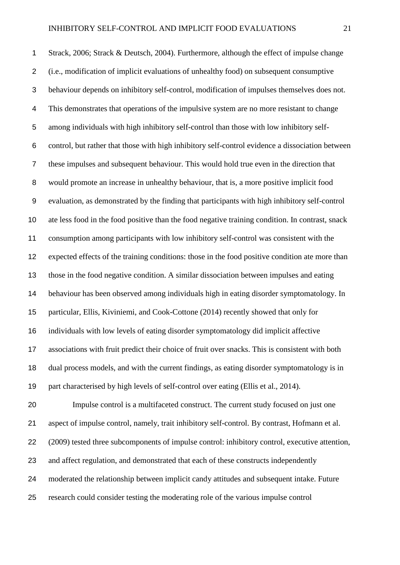Strack, 2006; Strack & Deutsch, 2004). Furthermore, although the effect of impulse change (i.e., modification of implicit evaluations of unhealthy food) on subsequent consumptive behaviour depends on inhibitory self-control, modification of impulses themselves does not. This demonstrates that operations of the impulsive system are no more resistant to change among individuals with high inhibitory self-control than those with low inhibitory self- control, but rather that those with high inhibitory self-control evidence a dissociation between these impulses and subsequent behaviour. This would hold true even in the direction that would promote an increase in unhealthy behaviour, that is, a more positive implicit food evaluation, as demonstrated by the finding that participants with high inhibitory self-control ate less food in the food positive than the food negative training condition. In contrast, snack consumption among participants with low inhibitory self-control was consistent with the expected effects of the training conditions: those in the food positive condition ate more than those in the food negative condition. A similar dissociation between impulses and eating behaviour has been observed among individuals high in eating disorder symptomatology. In particular, Ellis, Kiviniemi, and Cook-Cottone (2014) recently showed that only for individuals with low levels of eating disorder symptomatology did implicit affective associations with fruit predict their choice of fruit over snacks. This is consistent with both dual process models, and with the current findings, as eating disorder symptomatology is in part characterised by high levels of self-control over eating (Ellis et al., 2014). Impulse control is a multifaceted construct. The current study focused on just one

 aspect of impulse control, namely, trait inhibitory self-control. By contrast, Hofmann et al. (2009) tested three subcomponents of impulse control: inhibitory control, executive attention, and affect regulation, and demonstrated that each of these constructs independently moderated the relationship between implicit candy attitudes and subsequent intake. Future research could consider testing the moderating role of the various impulse control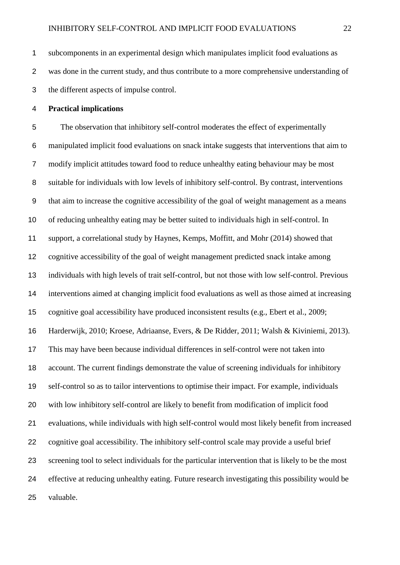subcomponents in an experimental design which manipulates implicit food evaluations as was done in the current study, and thus contribute to a more comprehensive understanding of the different aspects of impulse control.

# **Practical implications**

 The observation that inhibitory self-control moderates the effect of experimentally manipulated implicit food evaluations on snack intake suggests that interventions that aim to modify implicit attitudes toward food to reduce unhealthy eating behaviour may be most suitable for individuals with low levels of inhibitory self-control. By contrast, interventions that aim to increase the cognitive accessibility of the goal of weight management as a means of reducing unhealthy eating may be better suited to individuals high in self-control. In support, a correlational study by Haynes, Kemps, Moffitt, and Mohr (2014) showed that cognitive accessibility of the goal of weight management predicted snack intake among individuals with high levels of trait self-control, but not those with low self-control. Previous interventions aimed at changing implicit food evaluations as well as those aimed at increasing cognitive goal accessibility have produced inconsistent results (e.g., Ebert et al., 2009; Harderwijk, 2010; Kroese, Adriaanse, Evers, & De Ridder, 2011; Walsh & Kiviniemi, 2013). This may have been because individual differences in self-control were not taken into account. The current findings demonstrate the value of screening individuals for inhibitory self-control so as to tailor interventions to optimise their impact. For example, individuals with low inhibitory self-control are likely to benefit from modification of implicit food evaluations, while individuals with high self-control would most likely benefit from increased cognitive goal accessibility. The inhibitory self-control scale may provide a useful brief screening tool to select individuals for the particular intervention that is likely to be the most effective at reducing unhealthy eating. Future research investigating this possibility would be valuable.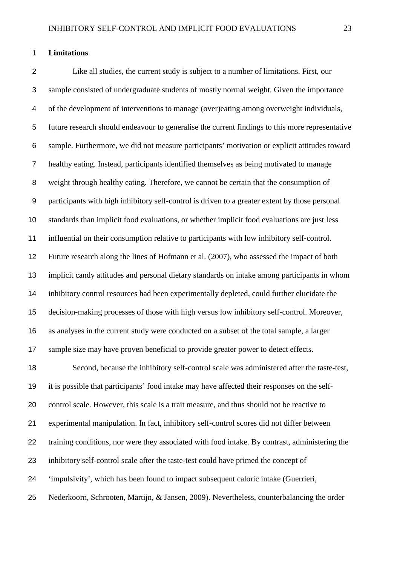## **Limitations**

 Like all studies, the current study is subject to a number of limitations. First, our sample consisted of undergraduate students of mostly normal weight. Given the importance of the development of interventions to manage (over)eating among overweight individuals, future research should endeavour to generalise the current findings to this more representative sample. Furthermore, we did not measure participants' motivation or explicit attitudes toward healthy eating. Instead, participants identified themselves as being motivated to manage weight through healthy eating. Therefore, we cannot be certain that the consumption of participants with high inhibitory self-control is driven to a greater extent by those personal standards than implicit food evaluations, or whether implicit food evaluations are just less influential on their consumption relative to participants with low inhibitory self-control. Future research along the lines of Hofmann et al. (2007), who assessed the impact of both implicit candy attitudes and personal dietary standards on intake among participants in whom inhibitory control resources had been experimentally depleted, could further elucidate the decision-making processes of those with high versus low inhibitory self-control. Moreover, as analyses in the current study were conducted on a subset of the total sample, a larger sample size may have proven beneficial to provide greater power to detect effects. Second, because the inhibitory self-control scale was administered after the taste-test, it is possible that participants' food intake may have affected their responses on the self-

 control scale. However, this scale is a trait measure, and thus should not be reactive to experimental manipulation. In fact, inhibitory self-control scores did not differ between training conditions, nor were they associated with food intake. By contrast, administering the inhibitory self-control scale after the taste-test could have primed the concept of 'impulsivity', which has been found to impact subsequent caloric intake (Guerrieri, Nederkoorn, Schrooten, Martijn, & Jansen, 2009). Nevertheless, counterbalancing the order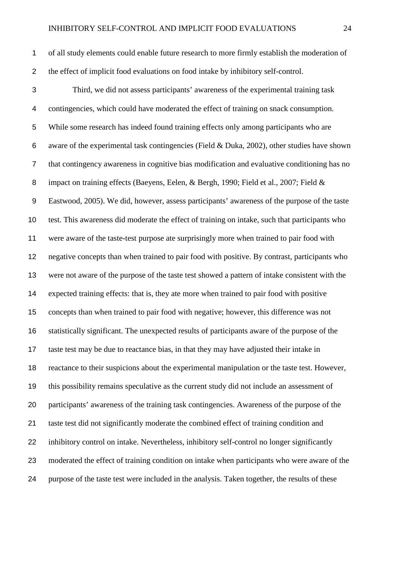of all study elements could enable future research to more firmly establish the moderation of the effect of implicit food evaluations on food intake by inhibitory self-control.

 Third, we did not assess participants' awareness of the experimental training task contingencies, which could have moderated the effect of training on snack consumption. While some research has indeed found training effects only among participants who are 6 aware of the experimental task contingencies (Field & Duka, 2002), other studies have shown that contingency awareness in cognitive bias modification and evaluative conditioning has no impact on training effects (Baeyens, Eelen, & Bergh, 1990; Field et al., 2007; Field & Eastwood, 2005). We did, however, assess participants' awareness of the purpose of the taste test. This awareness did moderate the effect of training on intake, such that participants who were aware of the taste-test purpose ate surprisingly more when trained to pair food with negative concepts than when trained to pair food with positive. By contrast, participants who were not aware of the purpose of the taste test showed a pattern of intake consistent with the expected training effects: that is, they ate more when trained to pair food with positive concepts than when trained to pair food with negative; however, this difference was not statistically significant. The unexpected results of participants aware of the purpose of the taste test may be due to reactance bias, in that they may have adjusted their intake in reactance to their suspicions about the experimental manipulation or the taste test. However, this possibility remains speculative as the current study did not include an assessment of participants' awareness of the training task contingencies. Awareness of the purpose of the taste test did not significantly moderate the combined effect of training condition and inhibitory control on intake. Nevertheless, inhibitory self-control no longer significantly moderated the effect of training condition on intake when participants who were aware of the purpose of the taste test were included in the analysis. Taken together, the results of these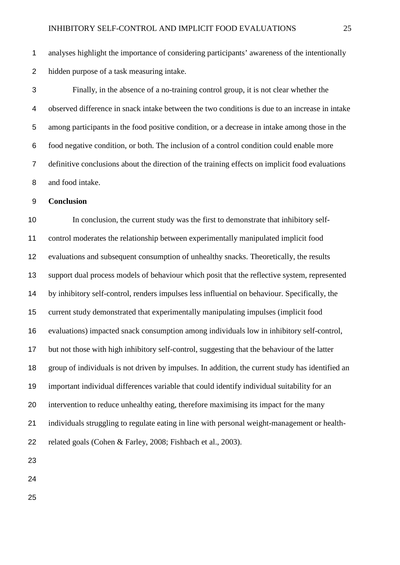analyses highlight the importance of considering participants' awareness of the intentionally hidden purpose of a task measuring intake.

 Finally, in the absence of a no-training control group, it is not clear whether the observed difference in snack intake between the two conditions is due to an increase in intake among participants in the food positive condition, or a decrease in intake among those in the food negative condition, or both. The inclusion of a control condition could enable more definitive conclusions about the direction of the training effects on implicit food evaluations and food intake.

**Conclusion**

 In conclusion, the current study was the first to demonstrate that inhibitory self- control moderates the relationship between experimentally manipulated implicit food evaluations and subsequent consumption of unhealthy snacks. Theoretically, the results support dual process models of behaviour which posit that the reflective system, represented by inhibitory self-control, renders impulses less influential on behaviour. Specifically, the current study demonstrated that experimentally manipulating impulses (implicit food evaluations) impacted snack consumption among individuals low in inhibitory self-control, but not those with high inhibitory self-control, suggesting that the behaviour of the latter group of individuals is not driven by impulses. In addition, the current study has identified an important individual differences variable that could identify individual suitability for an intervention to reduce unhealthy eating, therefore maximising its impact for the many individuals struggling to regulate eating in line with personal weight-management or health-related goals (Cohen & Farley, 2008; Fishbach et al., 2003).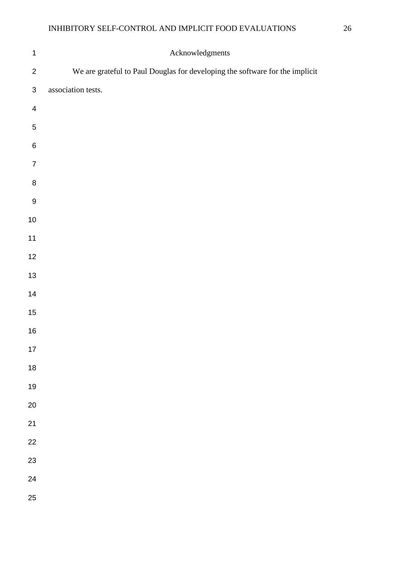| $\mathbf 1$               | Acknowledgments                                                              |
|---------------------------|------------------------------------------------------------------------------|
| $\sqrt{2}$                | We are grateful to Paul Douglas for developing the software for the implicit |
| $\ensuremath{\mathsf{3}}$ | association tests.                                                           |
| $\overline{\mathbf{4}}$   |                                                                              |
| $\mathbf 5$               |                                                                              |
| $\,$ 6 $\,$               |                                                                              |
| $\overline{7}$            |                                                                              |
| $\bf 8$                   |                                                                              |
| $\boldsymbol{9}$          |                                                                              |
| $10\,$                    |                                                                              |
| $11$                      |                                                                              |
| $12$                      |                                                                              |
| 13                        |                                                                              |
| 14                        |                                                                              |
| 15                        |                                                                              |
| $16\,$                    |                                                                              |
| $17\,$                    |                                                                              |
| 18                        |                                                                              |
| $19$                      |                                                                              |
| 20                        |                                                                              |
| 21                        |                                                                              |
| 22                        |                                                                              |
| 23                        |                                                                              |
| 24                        |                                                                              |
| 25                        |                                                                              |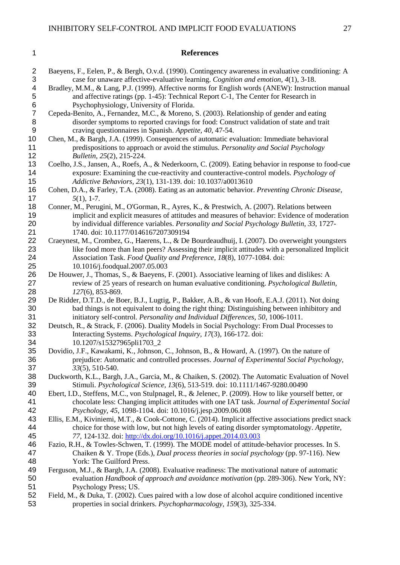|  | ۰. |  |  |
|--|----|--|--|
|  |    |  |  |

# **References**

| 2                       | Baeyens, F., Eelen, P., & Bergh, O.v.d. (1990). Contingency awareness in evaluative conditioning: A    |
|-------------------------|--------------------------------------------------------------------------------------------------------|
| 3                       | case for unaware affective-evaluative learning. Cognition and emotion, 4(1), 3-18.                     |
| $\overline{\mathbf{4}}$ | Bradley, M.M., & Lang, P.J. (1999). Affective norms for English words (ANEW): Instruction manual       |
| 5                       | and affective ratings (pp. 1-45): Technical Report C-1, The Center for Research in                     |
| 6                       | Psychophysiology, University of Florida.                                                               |
| $\overline{7}$          | Cepeda-Benito, A., Fernandez, M.C., & Moreno, S. (2003). Relationship of gender and eating             |
| 8                       | disorder symptoms to reported cravings for food: Construct validation of state and trait               |
| 9                       | craving questionnaires in Spanish. Appetite, 40, 47-54.                                                |
| 10                      | Chen, M., & Bargh, J.A. (1999). Consequences of automatic evaluation: Immediate behavioral             |
| 11                      | predispositions to approach or avoid the stimulus. Personality and Social Psychology                   |
| 12                      | Bulletin, 25(2), 215-224.                                                                              |
| 13                      | Coelho, J.S., Jansen, A., Roefs, A., & Nederkoorn, C. (2009). Eating behavior in response to food-cue  |
| 14                      | exposure: Examining the cue-reactivity and counteractive-control models. Psychology of                 |
| 15                      | Addictive Behaviors, 23(1), 131-139. doi: 10.1037/a0013610                                             |
| 16                      | Cohen, D.A., & Farley, T.A. (2008). Eating as an automatic behavior. Preventing Chronic Disease,       |
| 17                      | $5(1)$ , 1-7.                                                                                          |
| 18                      | Conner, M., Perugini, M., O'Gorman, R., Ayres, K., & Prestwich, A. (2007). Relations between           |
| 19                      | implicit and explicit measures of attitudes and measures of behavior: Evidence of moderation           |
| 20                      | by individual difference variables. Personality and Social Psychology Bulletin, 33, 1727-              |
| 21                      | 1740. doi: 10.1177/0146167207309194                                                                    |
| 22                      | Craeynest, M., Crombez, G., Haerens, L., & De Bourdeaudhuij, I. (2007). Do overweight youngsters       |
| 23                      | like food more than lean peers? Assessing their implicit attitudes with a personalized Implicit        |
| 24                      | Association Task. Food Quality and Preference, 18(8), 1077-1084. doi:                                  |
| 25                      | 10.1016/j.foodqual.2007.05.003                                                                         |
| 26                      | De Houwer, J., Thomas, S., & Baeyens, F. (2001). Associative learning of likes and dislikes: A         |
| 27                      | review of 25 years of research on human evaluative conditioning. Psychological Bulletin,               |
| 28                      | 127(6), 853-869.                                                                                       |
| 29                      | De Ridder, D.T.D., de Boer, B.J., Lugtig, P., Bakker, A.B., & van Hooft, E.A.J. (2011). Not doing      |
| 30                      | bad things is not equivalent to doing the right thing: Distinguishing between inhibitory and           |
| 31                      | initiatory self-control. Personality and Individual Differences, 50, 1006-1011.                        |
| 32                      | Deutsch, R., & Strack, F. (2006). Duality Models in Social Psychology: From Dual Processes to          |
| 33                      | Interacting Systems. Psychological Inquiry, 17(3), 166-172. doi:                                       |
| 34                      | 10.1207/s15327965pli1703 2                                                                             |
| 35                      | Dovidio, J.F., Kawakami, K., Johnson, C., Johnson, B., & Howard, A. (1997). On the nature of           |
| 36                      | prejudice: Automatic and controlled processes. Journal of Experimental Social Psychology,              |
| 37                      | 33(5), 510-540.                                                                                        |
| 38                      | Duckworth, K.L., Bargh, J.A., Garcia, M., & Chaiken, S. (2002). The Automatic Evaluation of Novel      |
| 39                      | Stimuli. Psychological Science, 13(6), 513-519. doi: 10.1111/1467-9280.00490                           |
| 40                      | Ebert, I.D., Steffens, M.C., von Stulpnagel, R., & Jelenec, P. (2009). How to like yourself better, or |
| 41                      | chocolate less: Changing implicit attitudes with one IAT task. Journal of Experimental Social          |
| 42                      | Psychology, 45, 1098-1104. doi: 10.1016/j.jesp.2009.06.008                                             |
| 43                      | Ellis, E.M., Kiviniemi, M.T., & Cook-Cottone, C. (2014). Implicit affective associations predict snack |
| 44                      | choice for those with low, but not high levels of eating disorder symptomatology. Appetite,            |
| 45                      | 77, 124-132. doi: http://dx.doi.org/10.1016/j.appet.2014.03.003                                        |
| 46                      | Fazio, R.H., & Towles-Schwen, T. (1999). The MODE model of attitude-behavior processes. In S.          |
| 47                      | Chaiken & Y. Trope (Eds.), Dual process theories in social psychology (pp. 97-116). New                |
| 48                      | York: The Guilford Press.                                                                              |
| 49                      | Ferguson, M.J., & Bargh, J.A. (2008). Evaluative readiness: The motivational nature of automatic       |
| 50                      | evaluation Handbook of approach and avoidance motivation (pp. 289-306). New York, NY:                  |
| 51                      | Psychology Press; US.                                                                                  |
| 52                      | Field, M., & Duka, T. (2002). Cues paired with a low dose of alcohol acquire conditioned incentive     |
| 53                      | properties in social drinkers. <i>Psychopharmacology</i> , 159(3), 325-334.                            |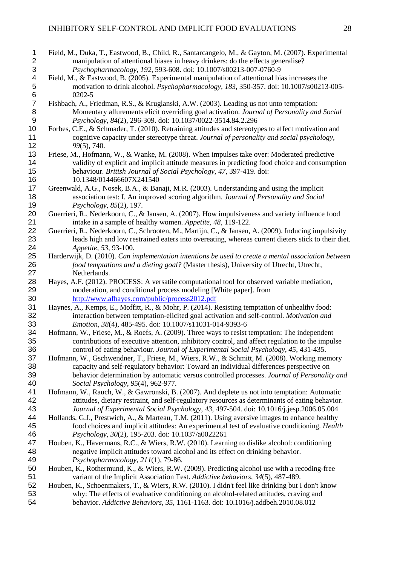| 1<br>$\overline{\mathbf{c}}$<br>3 | Field, M., Duka, T., Eastwood, B., Child, R., Santarcangelo, M., & Gayton, M. (2007). Experimental<br>manipulation of attentional biases in heavy drinkers: do the effects generalise?<br>Psychopharmacology, 192, 593-608. doi: 10.1007/s00213-007-0760-9 |
|-----------------------------------|------------------------------------------------------------------------------------------------------------------------------------------------------------------------------------------------------------------------------------------------------------|
| $\overline{\mathbf{4}}$<br>5<br>6 | Field, M., & Eastwood, B. (2005). Experimental manipulation of attentional bias increases the<br>motivation to drink alcohol. <i>Psychopharmacology</i> , 183, 350-357. doi: 10.1007/s00213-005-                                                           |
| $\overline{7}$                    | 0202-5<br>Fishbach, A., Friedman, R.S., & Kruglanski, A.W. (2003). Leading us not unto temptation:                                                                                                                                                         |
| 8<br>$\boldsymbol{9}$             | Momentary allurements elicit overriding goal activation. Journal of Personality and Social<br>Psychology, 84(2), 296-309. doi: 10.1037/0022-3514.84.2.296                                                                                                  |
| 10<br>11                          | Forbes, C.E., & Schmader, T. (2010). Retraining attitudes and stereotypes to affect motivation and<br>cognitive capacity under stereotype threat. Journal of personality and social psychology,                                                            |
| 12                                | 99(5), 740.                                                                                                                                                                                                                                                |
| 13                                | Friese, M., Hofmann, W., & Wanke, M. (2008). When impulses take over: Moderated predictive                                                                                                                                                                 |
| 14                                | validity of explicit and implicit attitude measures in predicting food choice and consumption                                                                                                                                                              |
| 15                                | behaviour. British Journal of Social Psychology, 47, 397-419. doi:                                                                                                                                                                                         |
| 16                                | 10.1348/014466607X241540                                                                                                                                                                                                                                   |
| 17                                | Greenwald, A.G., Nosek, B.A., & Banaji, M.R. (2003). Understanding and using the implicit                                                                                                                                                                  |
| 18                                | association test: I. An improved scoring algorithm. Journal of Personality and Social                                                                                                                                                                      |
| 19                                | Psychology, 85(2), 197.                                                                                                                                                                                                                                    |
| 20<br>21                          | Guerrieri, R., Nederkoorn, C., & Jansen, A. (2007). How impulsiveness and variety influence food<br>intake in a sample of healthy women. Appetite, 48, 119-122.                                                                                            |
| 22                                | Guerrieri, R., Nederkoorn, C., Schrooten, M., Martijn, C., & Jansen, A. (2009). Inducing impulsivity                                                                                                                                                       |
| 23                                | leads high and low restrained eaters into overeating, whereas current dieters stick to their diet.                                                                                                                                                         |
| 24                                | Appetite, 53, 93-100.                                                                                                                                                                                                                                      |
| 25                                | Harderwijk, D. (2010). Can implementation intentions be used to create a mental association between                                                                                                                                                        |
| 26                                | food temptations and a dieting goal? (Master thesis), University of Utrecht, Utrecht,                                                                                                                                                                      |
| 27                                | Netherlands.                                                                                                                                                                                                                                               |
| 28                                | Hayes, A.F. (2012). PROCESS: A versatile computational tool for observed variable mediation,                                                                                                                                                               |
| 29                                | moderation, and conditional process modeling [White paper]. from                                                                                                                                                                                           |
| 30                                | http://www.afhayes.com/public/process2012.pdf                                                                                                                                                                                                              |
| 31                                | Haynes, A., Kemps, E., Moffitt, R., & Mohr, P. (2014). Resisting temptation of unhealthy food:                                                                                                                                                             |
|                                   |                                                                                                                                                                                                                                                            |
| 32                                | interaction between temptation-elicited goal activation and self-control. Motivation and                                                                                                                                                                   |
| 33                                | Emotion, 38(4), 485-495. doi: 10.1007/s11031-014-9393-6                                                                                                                                                                                                    |
| 34                                | Hofmann, W., Friese, M., & Roefs, A. (2009). Three ways to resist temptation: The independent                                                                                                                                                              |
| 35                                | contributions of executive attention, inhibitory control, and affect regulation to the impulse                                                                                                                                                             |
| 36                                | control of eating behaviour. Journal of Experimental Social Psychology, 45, 431-435.                                                                                                                                                                       |
| 37                                | Hofmann, W., Gschwendner, T., Friese, M., Wiers, R.W., & Schmitt, M. (2008). Working memory                                                                                                                                                                |
| 38                                | capacity and self-regulatory behavior: Toward an individual differences perspective on                                                                                                                                                                     |
| 39                                | behavior determination by automatic versus controlled processes. Journal of Personality and                                                                                                                                                                |
| 40                                | Social Psychology, 95(4), 962-977.                                                                                                                                                                                                                         |
| 41                                | Hofmann, W., Rauch, W., & Gawronski, B. (2007). And deplete us not into temptation: Automatic                                                                                                                                                              |
| 42                                | attitudes, dietary restraint, and self-regulatory resources as determinants of eating behavior.                                                                                                                                                            |
| 43                                | Journal of Experimental Social Psychology, 43, 497-504. doi: 10.1016/j.jesp.2006.05.004                                                                                                                                                                    |
| 44                                | Hollands, G.J., Prestwich, A., & Marteau, T.M. (2011). Using aversive images to enhance healthy                                                                                                                                                            |
| 45                                | food choices and implicit attitudes: An experimental test of evaluative conditioning. Health                                                                                                                                                               |
| 46                                | Psychology, 30(2), 195-203. doi: 10.1037/a0022261                                                                                                                                                                                                          |
| 47                                | Houben, K., Havermans, R.C., & Wiers, R.W. (2010). Learning to dislike alcohol: conditioning                                                                                                                                                               |
| 48                                | negative implicit attitudes toward alcohol and its effect on drinking behavior.                                                                                                                                                                            |
| 49                                | Psychopharmacology, 211(1), 79-86.                                                                                                                                                                                                                         |
| 50                                | Houben, K., Rothermund, K., & Wiers, R.W. (2009). Predicting alcohol use with a recoding-free                                                                                                                                                              |
| 51                                | variant of the Implicit Association Test. Addictive behaviors, 34(5), 487-489.                                                                                                                                                                             |
| 52                                | Houben, K., Schoenmakers, T., & Wiers, R.W. (2010). I didn't feel like drinking but I don't know                                                                                                                                                           |
| 53                                | why: The effects of evaluative conditioning on alcohol-related attitudes, craving and                                                                                                                                                                      |
| 54                                | behavior. Addictive Behaviors, 35, 1161-1163. doi: 10.1016/j.addbeh.2010.08.012                                                                                                                                                                            |
|                                   |                                                                                                                                                                                                                                                            |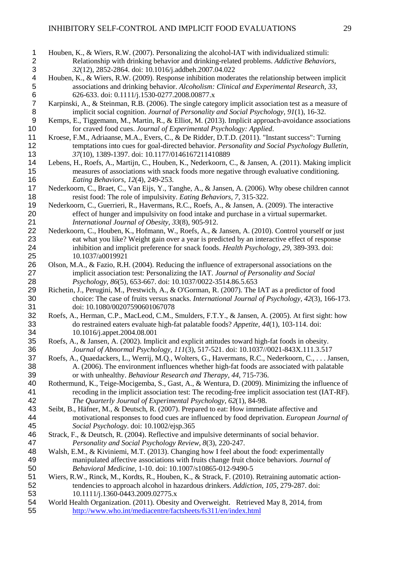| 1                        | Houben, K., & Wiers, R.W. (2007). Personalizing the alcohol-IAT with individualized stimuli:          |
|--------------------------|-------------------------------------------------------------------------------------------------------|
| $\mathbf 2$              | Relationship with drinking behavior and drinking-related problems. Addictive Behaviors,               |
| $\mathsf 3$              | 32(12), 2852-2864. doi: 10.1016/j.addbeh.2007.04.022                                                  |
| $\overline{\mathcal{A}}$ | Houben, K., & Wiers, R.W. (2009). Response inhibition moderates the relationship between implicit     |
| $\sqrt{5}$               | associations and drinking behavior. Alcoholism: Clinical and Experimental Research, 33,               |
| $\,6$                    | 626-633. doi: 0.1111/j.1530-0277.2008.00877.x                                                         |
| $\overline{7}$           | Karpinski, A., & Steinman, R.B. (2006). The single category implicit association test as a measure of |
| 8                        | implicit social cognition. Journal of Personality and Social Psychology, 91(1), 16-32.                |
| $\overline{9}$           | Kemps, E., Tiggemann, M., Martin, R., & Elliot, M. (2013). Implicit approach-avoidance associations   |
| 10                       | for craved food cues. Journal of Experimental Psychology: Applied.                                    |
| 11                       | Kroese, F.M., Adriaanse, M.A., Evers, C., & De Ridder, D.T.D. (2011). "Instant success": Turning      |
| 12                       | temptations into cues for goal-directed behavior. Personality and Social Psychology Bulletin,         |
| 13                       | 37(10), 1389-1397. doi: 10.1177/0146167211410889                                                      |
| 14                       | Lebens, H., Roefs, A., Martijn, C., Houben, K., Nederkoorn, C., & Jansen, A. (2011). Making implicit  |
| 15                       |                                                                                                       |
|                          | measures of associations with snack foods more negative through evaluative conditioning.              |
| 16                       | Eating Behaviors, 12(4), 249-253.                                                                     |
| 17                       | Nederkoorn, C., Braet, C., Van Eijs, Y., Tanghe, A., & Jansen, A. (2006). Why obese children cannot   |
| 18                       | resist food: The role of impulsivity. Eating Behaviors, 7, 315-322.                                   |
| 19                       | Nederkoorn, C., Guerrieri, R., Havermans, R.C., Roefs, A., & Jansen, A. (2009). The interactive       |
| 20                       | effect of hunger and impulsivity on food intake and purchase in a virtual supermarket.                |
| 21                       | International Journal of Obesity, 33(8), 905-912.                                                     |
| 22                       | Nederkoorn, C., Houben, K., Hofmann, W., Roefs, A., & Jansen, A. (2010). Control yourself or just     |
| 23                       | eat what you like? Weight gain over a year is predicted by an interactive effect of response          |
| 24                       | inhibition and implicit preference for snack foods. Health Psychology, 29, 389-393. doi:              |
| 25                       | 10.1037/a0019921                                                                                      |
| 26                       | Olson, M.A., & Fazio, R.H. (2004). Reducing the influence of extrapersonal associations on the        |
| 27                       | implicit association test: Personalizing the IAT. Journal of Personality and Social                   |
| 28                       | Psychology, 86(5), 653-667. doi: 10.1037/0022-3514.86.5.653                                           |
| 29                       | Richetin, J., Perugini, M., Prestwich, A., & O'Gorman, R. (2007). The IAT as a predictor of food      |
| 30                       | choice: The case of fruits versus snacks. International Journal of Psychology, 42(3), 166-173.        |
| 31                       | doi: 10.1080/00207590601067078                                                                        |
| 32                       | Roefs, A., Herman, C.P., MacLeod, C.M., Smulders, F.T.Y., & Jansen, A. (2005). At first sight: how    |
| 33                       | do restrained eaters evaluate high-fat palatable foods? Appetite, 44(1), 103-114. doi:                |
| 34                       | 10.1016/j.appet.2004.08.001                                                                           |
| 35                       | Roefs, A., & Jansen, A. (2002). Implicit and explicit attitudes toward high-fat foods in obesity.     |
| 36                       | Journal of Abnormal Psychology, 111(3), 517-521. doi: 10.1037//0021-843X.111.3.517                    |
| 37                       | Roefs, A., Quaedackers, L., Werrij, M.Q., Wolters, G., Havermans, R.C., Nederkoorn, C.,  Jansen,      |
| 38                       | A. (2006). The environment influences whether high-fat foods are associated with palatable            |
| 39                       | or with unhealthy. Behaviour Research and Therapy, 44, 715-736.                                       |
| 40                       | Rothermund, K., Teige-Mocigemba, S., Gast, A., & Wentura, D. (2009). Minimizing the influence of      |
| 41                       | recoding in the implicit association test: The recoding-free implicit association test (IAT-RF).      |
| 42                       | The Quarterly Journal of Experimental Psychology, 62(1), 84-98.                                       |
| 43                       | Seibt, B., Häfner, M., & Deutsch, R. (2007). Prepared to eat: How immediate affective and             |
| 44                       | motivational responses to food cues are influenced by food deprivation. European Journal of           |
| 45                       | Social Psychology. doi: 10.1002/ejsp.365                                                              |
| 46                       | Strack, F., & Deutsch, R. (2004). Reflective and impulsive determinants of social behavior.           |
| 47                       | Personality and Social Psychology Review, 8(3), 220-247.                                              |
| 48                       | Walsh, E.M., & Kiviniemi, M.T. (2013). Changing how I feel about the food: experimentally             |
| 49                       | manipulated affective associations with fruits change fruit choice behaviors. Journal of              |
| 50                       | Behavioral Medicine, 1-10. doi: 10.1007/s10865-012-9490-5                                             |
| 51                       | Wiers, R.W., Rinck, M., Kordts, R., Houben, K., & Strack, F. (2010). Retraining automatic action-     |
| 52                       | tendencies to approach alcohol in hazardous drinkers. Addiction, 105, 279-287. doi:                   |
| 53                       | 10.1111/j.1360-0443.2009.02775.x                                                                      |
| 54                       | World Health Organization (2011) Obesity and Overweight Retrieved May 8, 2014, from                   |

 World Health Organization. (2011). Obesity and Overweight. Retrieved May 8, 2014, from <http://www.who.int/mediacentre/factsheets/fs311/en/index.html>